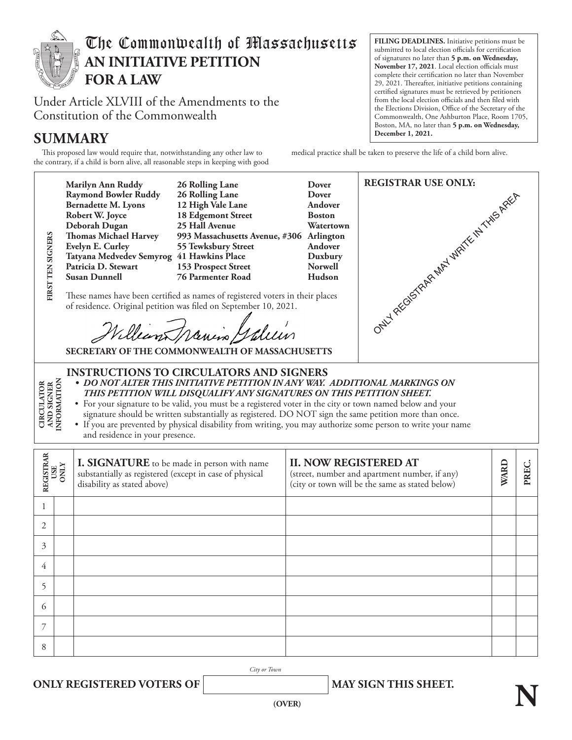

# The Commonwealth of Massachusetts **AN INITIATIVE PETITION FOR A LAW**

Under Article XLVIII of the Amendments to the Constitution of the Commonwealth

## $SUMMARY$

This proposed law would require that, notwithstanding any other law to the contrary, if a child is born alive, all reasonable steps in keeping with good **FILING DEADLINES.** Initiative petitions must be submitted to local election officials for certification of signatures no later than **5 p.m. on Wednesday, November 17, 2021**. Local election officials must complete their certification no later than November 29, 2021. Thereafter, initiative petitions containing certified signatures must be retrieved by petitioners from the local election officials and then filed with the Elections Division, Office of the Secretary of the Commonwealth, One Ashburton Place, Room 1705, Boston, MA, no later than **5 p.m. on Wednesday,** 

medical practice shall be taken to preserve the life of a child born alive.

**REGISTRAR USE ONLY: Marilyn Ann Ruddy 26 Rolling Lane Dover Raymond Bowler Ruddy 26 Rolling Lane Dover**  ONLY REGISTRAR MAY WRITE IN THIS AREA **Bernadette M. Lyons 12 High Vale Lane Andover 18 Edgemont Street**<br>**25 Hall Avenue Deborah Dugan 25 Hall Avenue Watertown IRST TEN SIGNERS Thomas Michael Harvey 993 Massachusetts Avenue, #306 Arlington FIRST TEN SIGNERS Evelyn E. Curley 55 Tewksbury Street Andover Tatyana Medvedev Semyrog 41 Hawkins Place Duxbury Patricia D. Stewart 153 Prospect Street Norwell 76 Parmenter Road** These names have been certified as names of registered voters in their places of residence. Original petition was filed on September 10, 2021. Williams Janin Galein **SECRETARY OF THE COMMONWEALTH OF MASSACHUSETTS INSTRUCTIONS TO CIRCULATORS AND SIGNERS CIRCULATOR<br>AND SIGNER**<br>INFORMATION *• DO NOT ALTER THIS INITIATIVE PETITION IN ANY WAY. ADDITIONAL MARKINGS ON*  **INFORMATION CIRCULATOR AND SIGNER**  *THIS PETITION WILL DISQUALIFY ANY SIGNATURES ON THIS PETITION SHEET.*  • For your signature to be valid, you must be a registered voter in the city or town named below and your signature should be written substantially as registered. DO NOT sign the same petition more than once. • If you are prevented by physical disability from writing, you may authorize some person to write your name and residence in your presence. **REGISTRAR II. NOW REGISTERED AT I. SIGNATURE** to be made in person with name **WARD PREC. USE ONLY** substantially as registered (except in case of physical (street, number and apartment number, if any) disability as stated above) (city or town will be the same as stated below) 1 2

3 4 5 6 7 8

*City or Town*

**ONLY REGISTERED VOTERS OF MAY SIGN THIS SHEET.**